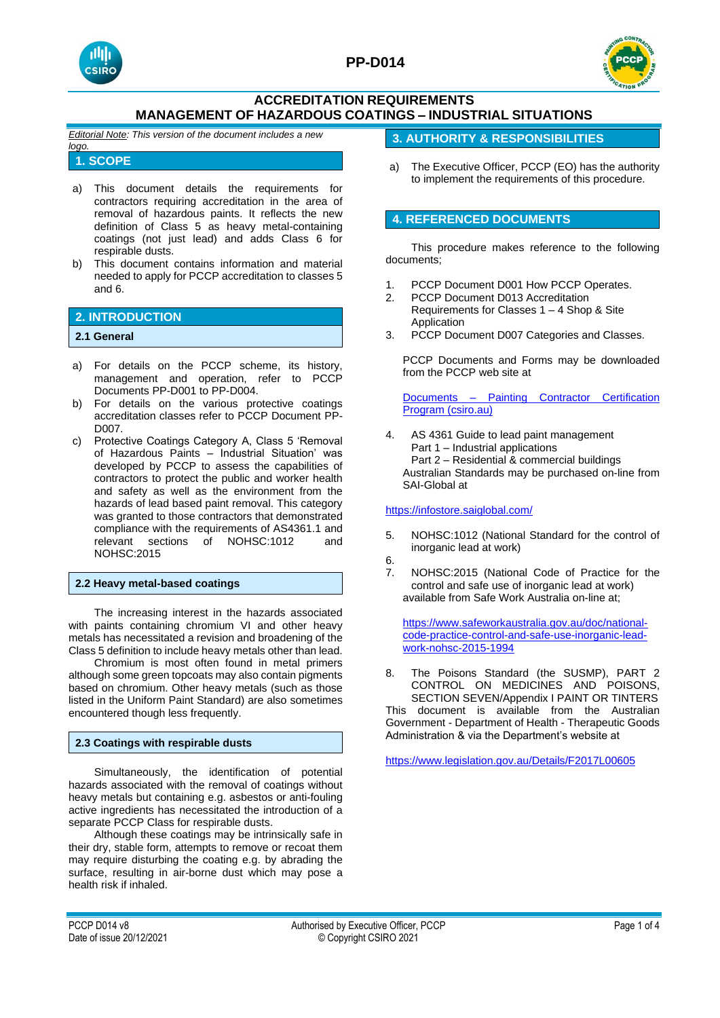



*Editorial Note: This version of the document includes a new logo.*

## **1. SCOPE**

- a) This document details the requirements for contractors requiring accreditation in the area of removal of hazardous paints. It reflects the new definition of Class 5 as heavy metal-containing coatings (not just lead) and adds Class 6 for respirable dusts.
- b) This document contains information and material needed to apply for PCCP accreditation to classes 5 and 6.

# **2. INTRODUCTION**

## **2.1 General**

- a) For details on the PCCP scheme, its history, management and operation, refer to PCCP Documents PP-D001 to PP-D004.
- b) For details on the various protective coatings accreditation classes refer to PCCP Document PP-D007.
- c) Protective Coatings Category A, Class 5 'Removal of Hazardous Paints – Industrial Situation' was developed by PCCP to assess the capabilities of contractors to protect the public and worker health and safety as well as the environment from the hazards of lead based paint removal. This category was granted to those contractors that demonstrated compliance with the requirements of AS4361.1 and relevant sections of NOHSC:1012 and NOHSC:2015

### **2.2 Heavy metal-based coatings**

The increasing interest in the hazards associated with paints containing chromium VI and other heavy metals has necessitated a revision and broadening of the Class 5 definition to include heavy metals other than lead.

Chromium is most often found in metal primers although some green topcoats may also contain pigments based on chromium. Other heavy metals (such as those listed in the Uniform Paint Standard) are also sometimes encountered though less frequently.

## **2.3 Coatings with respirable dusts**

Simultaneously, the identification of potential hazards associated with the removal of coatings without heavy metals but containing e.g. asbestos or anti-fouling active ingredients has necessitated the introduction of a separate PCCP Class for respirable dusts.

Although these coatings may be intrinsically safe in their dry, stable form, attempts to remove or recoat them may require disturbing the coating e.g. by abrading the surface, resulting in air-borne dust which may pose a health risk if inhaled.

## **3. AUTHORITY & RESPONSIBILITIES**

a) The Executive Officer, PCCP (EO) has the authority to implement the requirements of this procedure.

## **4. REFERENCED DOCUMENTS**

This procedure makes reference to the following documents;

- 1. PCCP Document D001 How PCCP Operates.
- 2. PCCP Document D013 Accreditation Requirements for Classes 1 – 4 Shop & Site Application
- 3. PCCP Document D007 Categories and Classes.

PCCP Documents and Forms may be downloaded from the PCCP web site at

Documents – [Painting Contractor Certification](https://vs.csiro.au/pccp/documents/)  [Program \(csiro.au\)](https://vs.csiro.au/pccp/documents/)

4. AS 4361 Guide to lead paint management Part 1 – Industrial applications Part 2 – Residential & commercial buildings Australian Standards may be purchased on-line from SAI-Global at

### <https://infostore.saiglobal.com/>

- 5. NOHSC:1012 (National Standard for the control of inorganic lead at work)
- 6.
- 7. NOHSC:2015 (National Code of Practice for the control and safe use of inorganic lead at work) available from Safe Work Australia on-line at;

[https://www.safeworkaustralia.gov.au/doc/national](https://www.safeworkaustralia.gov.au/doc/national-code-practice-control-and-safe-use-inorganic-lead-work-nohsc-2015-1994)[code-practice-control-and-safe-use-inorganic-lead](https://www.safeworkaustralia.gov.au/doc/national-code-practice-control-and-safe-use-inorganic-lead-work-nohsc-2015-1994)[work-nohsc-2015-1994](https://www.safeworkaustralia.gov.au/doc/national-code-practice-control-and-safe-use-inorganic-lead-work-nohsc-2015-1994)

8. The Poisons Standard (the SUSMP), PART 2 CONTROL ON MEDICINES AND POISONS, SECTION SEVEN/Appendix I PAINT OR TINTERS

This document is available from the Australian Government - Department of Health - Therapeutic Goods Administration & via the Department's website at

<https://www.legislation.gov.au/Details/F2017L00605>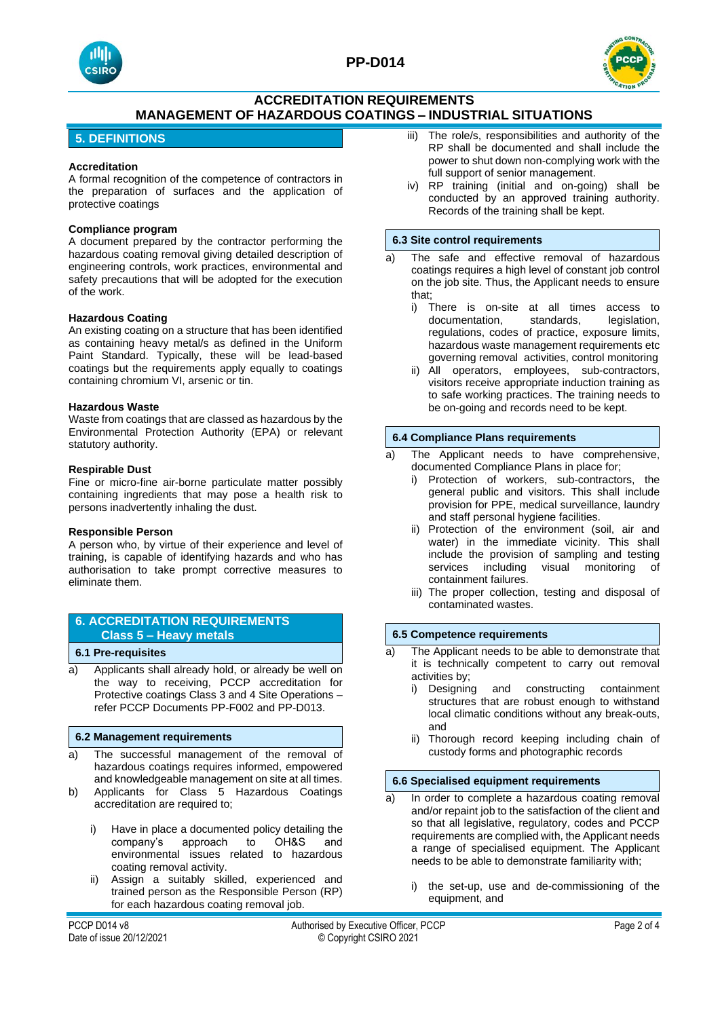



## **5. DEFINITIONS**

#### **Accreditation**

A formal recognition of the competence of contractors in the preparation of surfaces and the application of protective coatings

### **Compliance program**

A document prepared by the contractor performing the hazardous coating removal giving detailed description of engineering controls, work practices, environmental and safety precautions that will be adopted for the execution of the work.

#### **Hazardous Coating**

An existing coating on a structure that has been identified as containing heavy metal/s as defined in the Uniform Paint Standard. Typically, these will be lead-based coatings but the requirements apply equally to coatings containing chromium VI, arsenic or tin.

#### **Hazardous Waste**

Waste from coatings that are classed as hazardous by the Environmental Protection Authority (EPA) or relevant statutory authority.

#### **Respirable Dust**

Fine or micro-fine air-borne particulate matter possibly containing ingredients that may pose a health risk to persons inadvertently inhaling the dust.

#### **Responsible Person**

A person who, by virtue of their experience and level of training, is capable of identifying hazards and who has authorisation to take prompt corrective measures to eliminate them.

## **6. ACCREDITATION REQUIREMENTS Class 5 – Heavy metals**

### **6.1 Pre-requisites**

a) Applicants shall already hold, or already be well on the way to receiving, PCCP accreditation for Protective coatings Class 3 and 4 Site Operations – refer PCCP Documents PP-F002 and PP-D013.

#### **6.2 Management requirements**

- a) The successful management of the removal of hazardous coatings requires informed, empowered and knowledgeable management on site at all times.
- b) Applicants for Class 5 Hazardous Coatings accreditation are required to;
	- i) Have in place a documented policy detailing the company's approach to OH&S and environmental issues related to hazardous coating removal activity.
	- ii) Assign a suitably skilled, experienced and trained person as the Responsible Person (RP) for each hazardous coating removal job.
- iii) The role/s, responsibilities and authority of the RP shall be documented and shall include the power to shut down non-complying work with the full support of senior management.
- iv) RP training (initial and on-going) shall be conducted by an approved training authority. Records of the training shall be kept.

#### **6.3 Site control requirements**

- a) The safe and effective removal of hazardous coatings requires a high level of constant job control on the job site. Thus, the Applicant needs to ensure that;
	- i) There is on-site at all times access to documentation, standards, legislation, regulations, codes of practice, exposure limits, hazardous waste management requirements etc governing removal activities, control monitoring
	- ii) All operators, employees, sub-contractors, visitors receive appropriate induction training as to safe working practices. The training needs to be on-going and records need to be kept.

#### **6.4 Compliance Plans requirements**

- a) The Applicant needs to have comprehensive, documented Compliance Plans in place for;
	- i) Protection of workers, sub-contractors, the general public and visitors. This shall include provision for PPE, medical surveillance, laundry and staff personal hygiene facilities.
	- ii) Protection of the environment (soil, air and water) in the immediate vicinity. This shall include the provision of sampling and testing services including visual monitoring of containment failures.
	- iii) The proper collection, testing and disposal of contaminated wastes.

### **6.5 Competence requirements**

- a) The Applicant needs to be able to demonstrate that it is technically competent to carry out removal activities by;
	- i) Designing and constructing containment structures that are robust enough to withstand local climatic conditions without any break-outs, and
	- ii) Thorough record keeping including chain of custody forms and photographic records

#### **6.6 Specialised equipment requirements**

- a) In order to complete a hazardous coating removal and/or repaint job to the satisfaction of the client and so that all legislative, regulatory, codes and PCCP requirements are complied with, the Applicant needs a range of specialised equipment. The Applicant needs to be able to demonstrate familiarity with;
	- i) the set-up, use and de-commissioning of the equipment, and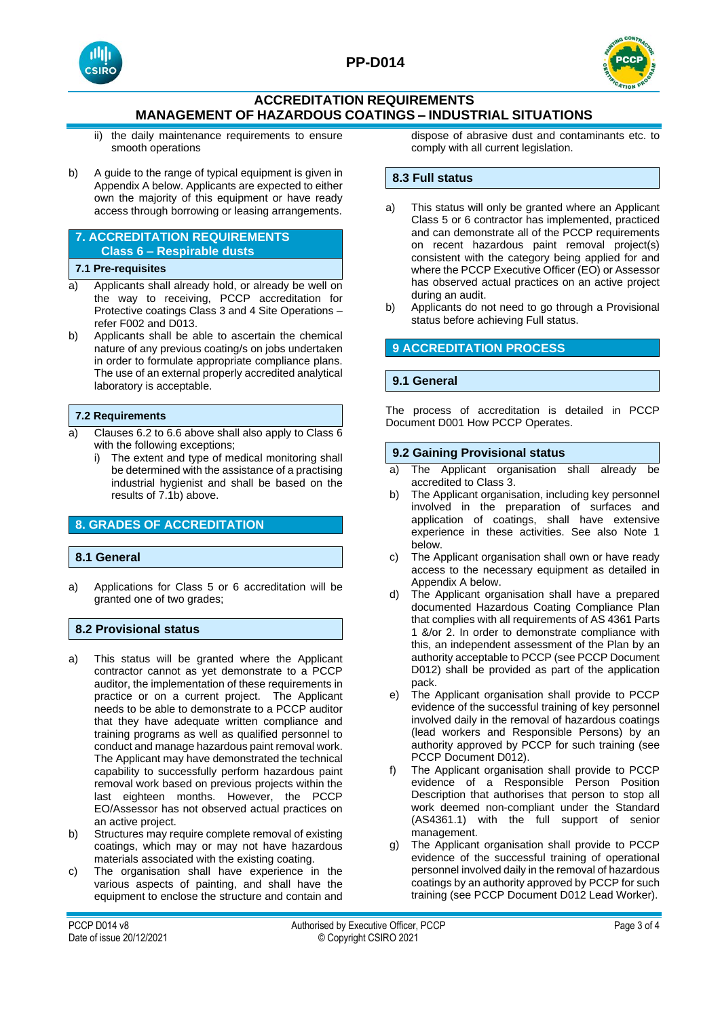



- ii) the daily maintenance requirements to ensure smooth operations
- b) A guide to the range of typical equipment is given in Appendix A below. Applicants are expected to either own the majority of this equipment or have ready access through borrowing or leasing arrangements.

## **7. ACCREDITATION REQUIREMENTS Class 6 – Respirable dusts**

### **7.1 Pre-requisites**

- a) Applicants shall already hold, or already be well on the way to receiving, PCCP accreditation for Protective coatings Class 3 and 4 Site Operations – refer F002 and D013.
- b) Applicants shall be able to ascertain the chemical nature of any previous coating/s on jobs undertaken in order to formulate appropriate compliance plans. The use of an external properly accredited analytical laboratory is acceptable.

### **7.2 Requirements**

- a) Clauses 6.2 to 6.6 above shall also apply to Class 6 with the following exceptions:
	- i) The extent and type of medical monitoring shall be determined with the assistance of a practising industrial hygienist and shall be based on the results of 7.1b) above.

# **8. GRADES OF ACCREDITATION**

### **8.1 General**

a) Applications for Class 5 or 6 accreditation will be granted one of two grades;

## **8.2 Provisional status**

- a) This status will be granted where the Applicant contractor cannot as yet demonstrate to a PCCP auditor, the implementation of these requirements in practice or on a current project. The Applicant needs to be able to demonstrate to a PCCP auditor that they have adequate written compliance and training programs as well as qualified personnel to conduct and manage hazardous paint removal work. The Applicant may have demonstrated the technical capability to successfully perform hazardous paint removal work based on previous projects within the last eighteen months. However, the PCCP EO/Assessor has not observed actual practices on an active project.
- b) Structures may require complete removal of existing coatings, which may or may not have hazardous materials associated with the existing coating.
- c) The organisation shall have experience in the various aspects of painting, and shall have the equipment to enclose the structure and contain and

dispose of abrasive dust and contaminants etc. to comply with all current legislation.

## **8.3 Full status**

- a) This status will only be granted where an Applicant Class 5 or 6 contractor has implemented, practiced and can demonstrate all of the PCCP requirements on recent hazardous paint removal project(s) consistent with the category being applied for and where the PCCP Executive Officer (EO) or Assessor has observed actual practices on an active project during an audit.
- b) Applicants do not need to go through a Provisional status before achieving Full status.

## **9 ACCREDITATION PROCESS**

## **9.1 General**

The process of accreditation is detailed in PCCP Document D001 How PCCP Operates.

### **9.2 Gaining Provisional status**

- a) The Applicant organisation shall already be accredited to Class 3.
- b) The Applicant organisation, including key personnel involved in the preparation of surfaces and application of coatings, shall have extensive experience in these activities. See also Note 1 below.
- c) The Applicant organisation shall own or have ready access to the necessary equipment as detailed in Appendix A below.
- d) The Applicant organisation shall have a prepared documented Hazardous Coating Compliance Plan that complies with all requirements of AS 4361 Parts 1 &/or 2. In order to demonstrate compliance with this, an independent assessment of the Plan by an authority acceptable to PCCP (see PCCP Document D012) shall be provided as part of the application pack.
- e) The Applicant organisation shall provide to PCCP evidence of the successful training of key personnel involved daily in the removal of hazardous coatings (lead workers and Responsible Persons) by an authority approved by PCCP for such training (see PCCP Document D012).
- f) The Applicant organisation shall provide to PCCP evidence of a Responsible Person Position Description that authorises that person to stop all work deemed non-compliant under the Standard (AS4361.1) with the full support of senior management.
- g) The Applicant organisation shall provide to PCCP evidence of the successful training of operational personnel involved daily in the removal of hazardous coatings by an authority approved by PCCP for such training (see PCCP Document D012 Lead Worker).